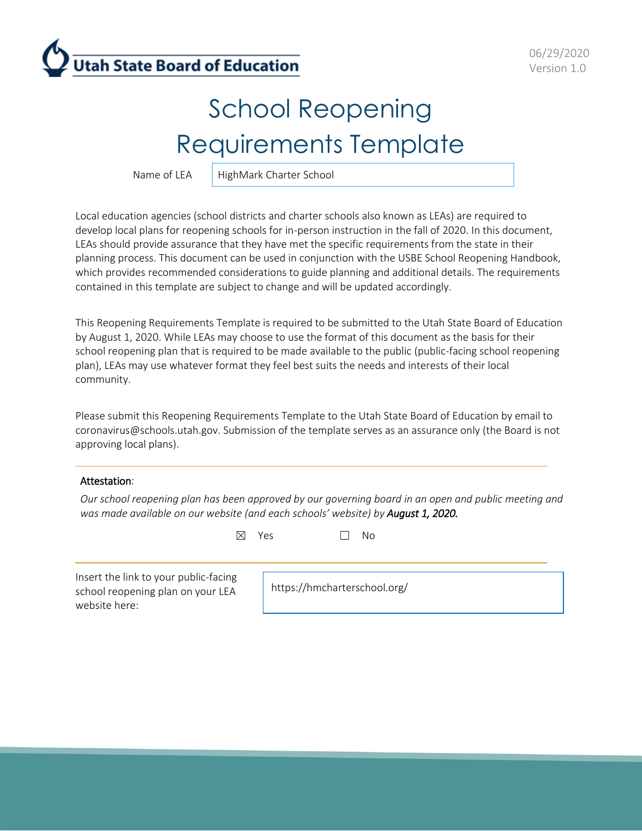

# School Reopening Requirements Template

Name of LEA  $\parallel$  HighMark Charter School

Local education agencies (school districts and charter schools also known as LEAs) are required to develop local plans for reopening schools for in-person instruction in the fall of 2020. In this document, LEAs should provide assurance that they have met the specific requirements from the state in their planning process. This document can be used in conjunction with the USBE School Reopening Handbook, which provides recommended considerations to guide planning and additional details. The requirements contained in this template are subject to change and will be updated accordingly.

This Reopening Requirements Template is required to be submitted to the Utah State Board of Education by August 1, 2020. While LEAs may choose to use the format of this document as the basis for their school reopening plan that is required to be made available to the public (public-facing school reopening plan), LEAs may use whatever format they feel best suits the needs and interests of their local community.

Please submit this Reopening Requirements Template to the Utah State Board of Education by email to [coronavirus@schools.utah.gov.](mailto:coronavirus@schools.utah.gov) Submission of the template serves as an assurance only (the Board is not approving local plans).

#### Attestation:

*Our school reopening plan has been approved by our governing board in an open and public meeting and was made available on our website (and each schools' website) by August 1, 2020.*

☒ Yes ☐ No

Insert the link to your public-facing school reopening plan on your LEA website here:

https://hmcharterschool.org/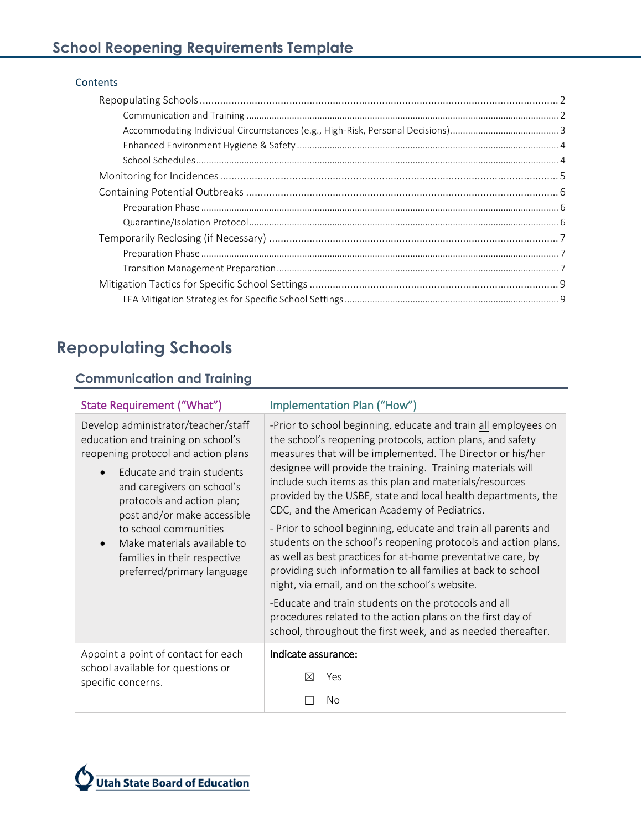#### **Contents**

# <span id="page-1-0"></span>**Repopulating Schools**

#### <span id="page-1-1"></span>**Communication and Training**

| State Requirement ("What")                                                                                                                                                                                                                                                                                                                                                   | Implementation Plan ("How")                                                                                                                                                                                                                                                                                                                                                                                                                                                                                                                                                                                                                                                                                                                                                                                                                                                                                                                      |  |  |  |
|------------------------------------------------------------------------------------------------------------------------------------------------------------------------------------------------------------------------------------------------------------------------------------------------------------------------------------------------------------------------------|--------------------------------------------------------------------------------------------------------------------------------------------------------------------------------------------------------------------------------------------------------------------------------------------------------------------------------------------------------------------------------------------------------------------------------------------------------------------------------------------------------------------------------------------------------------------------------------------------------------------------------------------------------------------------------------------------------------------------------------------------------------------------------------------------------------------------------------------------------------------------------------------------------------------------------------------------|--|--|--|
| Develop administrator/teacher/staff<br>education and training on school's<br>reopening protocol and action plans<br>Educate and train students<br>$\bullet$<br>and caregivers on school's<br>protocols and action plan;<br>post and/or make accessible<br>to school communities<br>Make materials available to<br>families in their respective<br>preferred/primary language | -Prior to school beginning, educate and train all employees on<br>the school's reopening protocols, action plans, and safety<br>measures that will be implemented. The Director or his/her<br>designee will provide the training. Training materials will<br>include such items as this plan and materials/resources<br>provided by the USBE, state and local health departments, the<br>CDC, and the American Academy of Pediatrics.<br>- Prior to school beginning, educate and train all parents and<br>students on the school's reopening protocols and action plans,<br>as well as best practices for at-home preventative care, by<br>providing such information to all families at back to school<br>night, via email, and on the school's website.<br>-Educate and train students on the protocols and all<br>procedures related to the action plans on the first day of<br>school, throughout the first week, and as needed thereafter. |  |  |  |
| Appoint a point of contact for each<br>school available for questions or<br>specific concerns.                                                                                                                                                                                                                                                                               | Indicate assurance:                                                                                                                                                                                                                                                                                                                                                                                                                                                                                                                                                                                                                                                                                                                                                                                                                                                                                                                              |  |  |  |
|                                                                                                                                                                                                                                                                                                                                                                              | Yes<br>M                                                                                                                                                                                                                                                                                                                                                                                                                                                                                                                                                                                                                                                                                                                                                                                                                                                                                                                                         |  |  |  |
|                                                                                                                                                                                                                                                                                                                                                                              | No                                                                                                                                                                                                                                                                                                                                                                                                                                                                                                                                                                                                                                                                                                                                                                                                                                                                                                                                               |  |  |  |

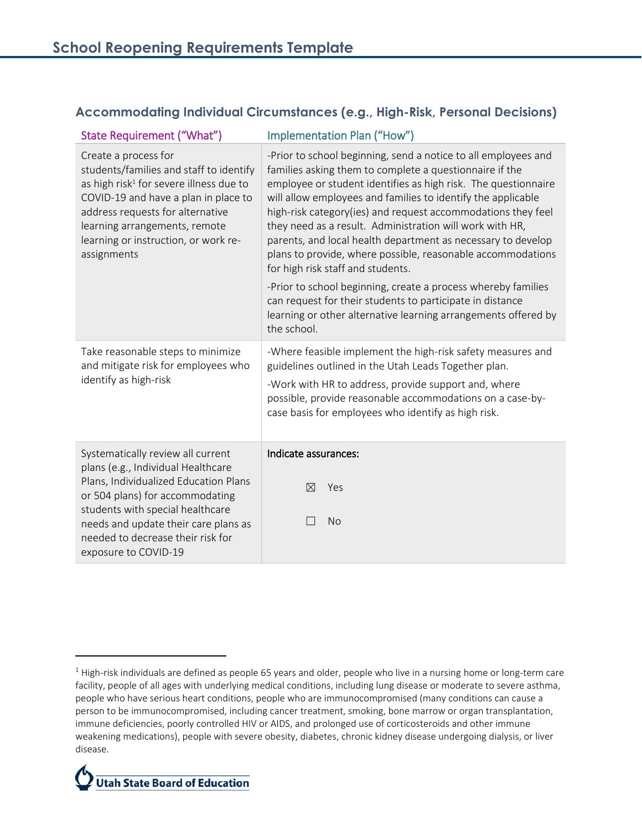#### <span id="page-2-0"></span>**Accommodating Individual Circumstances (e.g., High-Risk, Personal Decisions)**

| <b>State Requirement ("What")</b>                                                                                                                                                                                                                                                            | Implementation Plan ("How")                                                                                                                                                                                                                                                                                                                                                                                                                                                                                                                                                                                                                                                                                                                                                |  |  |  |
|----------------------------------------------------------------------------------------------------------------------------------------------------------------------------------------------------------------------------------------------------------------------------------------------|----------------------------------------------------------------------------------------------------------------------------------------------------------------------------------------------------------------------------------------------------------------------------------------------------------------------------------------------------------------------------------------------------------------------------------------------------------------------------------------------------------------------------------------------------------------------------------------------------------------------------------------------------------------------------------------------------------------------------------------------------------------------------|--|--|--|
| Create a process for<br>students/families and staff to identify<br>as high risk <sup>1</sup> for severe illness due to<br>COVID-19 and have a plan in place to<br>address requests for alternative<br>learning arrangements, remote<br>learning or instruction, or work re-<br>assignments   | -Prior to school beginning, send a notice to all employees and<br>families asking them to complete a questionnaire if the<br>employee or student identifies as high risk. The questionnaire<br>will allow employees and families to identify the applicable<br>high-risk category(ies) and request accommodations they feel<br>they need as a result. Administration will work with HR,<br>parents, and local health department as necessary to develop<br>plans to provide, where possible, reasonable accommodations<br>for high risk staff and students.<br>-Prior to school beginning, create a process whereby families<br>can request for their students to participate in distance<br>learning or other alternative learning arrangements offered by<br>the school. |  |  |  |
| Take reasonable steps to minimize<br>and mitigate risk for employees who<br>identify as high-risk                                                                                                                                                                                            | -Where feasible implement the high-risk safety measures and<br>guidelines outlined in the Utah Leads Together plan.<br>-Work with HR to address, provide support and, where<br>possible, provide reasonable accommodations on a case-by-<br>case basis for employees who identify as high risk.                                                                                                                                                                                                                                                                                                                                                                                                                                                                            |  |  |  |
| Systematically review all current<br>plans (e.g., Individual Healthcare<br>Plans, Individualized Education Plans<br>or 504 plans) for accommodating<br>students with special healthcare<br>needs and update their care plans as<br>needed to decrease their risk for<br>exposure to COVID-19 | Indicate assurances:<br>$\boxtimes$<br>Yes<br><b>No</b>                                                                                                                                                                                                                                                                                                                                                                                                                                                                                                                                                                                                                                                                                                                    |  |  |  |

 $1$  High-risk individuals are defined as people 65 years and older, people who live in a nursing home or long-term care facility, people of all ages with underlying medical conditions, including lung disease or moderate to severe asthma, people who have serious heart conditions, people who are immunocompromised (many conditions can cause a person to be immunocompromised, including cancer treatment, smoking, bone marrow or organ transplantation, immune deficiencies, poorly controlled HIV or AIDS, and prolonged use of corticosteroids and other immune weakening medications), people with severe obesity, diabetes, chronic kidney disease undergoing dialysis, or liver disease.



 $\overline{\phantom{a}}$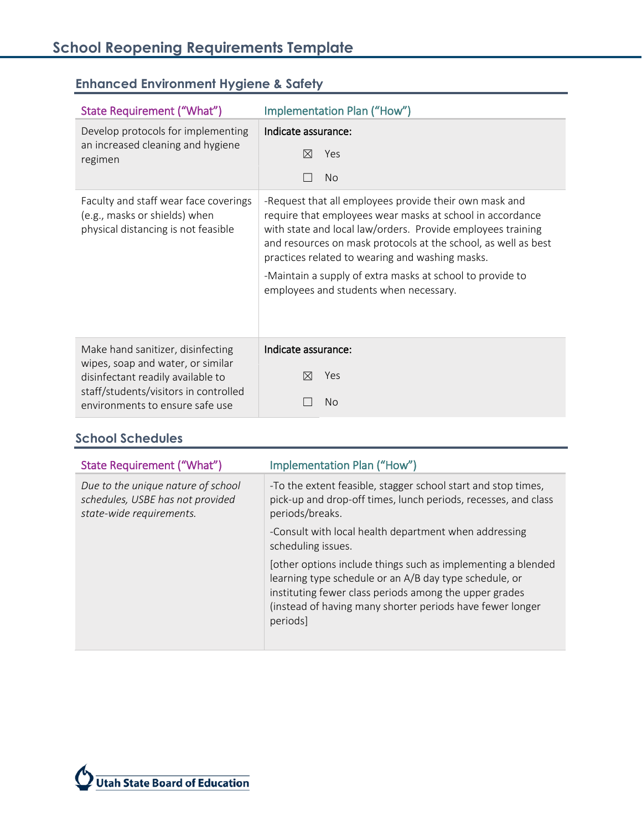| State Requirement ("What")                                                                                                                                                              | Implementation Plan ("How")                                                                                                                                                                                                                                                                                                                                                                                    |  |  |  |  |
|-----------------------------------------------------------------------------------------------------------------------------------------------------------------------------------------|----------------------------------------------------------------------------------------------------------------------------------------------------------------------------------------------------------------------------------------------------------------------------------------------------------------------------------------------------------------------------------------------------------------|--|--|--|--|
| Develop protocols for implementing<br>an increased cleaning and hygiene<br>regimen                                                                                                      | Indicate assurance:<br>Yes<br>$\bowtie$<br><b>No</b>                                                                                                                                                                                                                                                                                                                                                           |  |  |  |  |
| Faculty and staff wear face coverings<br>(e.g., masks or shields) when<br>physical distancing is not feasible                                                                           | -Request that all employees provide their own mask and<br>require that employees wear masks at school in accordance<br>with state and local law/orders. Provide employees training<br>and resources on mask protocols at the school, as well as best<br>practices related to wearing and washing masks.<br>-Maintain a supply of extra masks at school to provide to<br>employees and students when necessary. |  |  |  |  |
| Make hand sanitizer, disinfecting<br>wipes, soap and water, or similar<br>disinfectant readily available to<br>staff/students/visitors in controlled<br>environments to ensure safe use | Indicate assurance:<br>Yes<br>$\bowtie$<br><b>No</b>                                                                                                                                                                                                                                                                                                                                                           |  |  |  |  |

# <span id="page-3-0"></span>**Enhanced Environment Hygiene & Safety**

#### <span id="page-3-1"></span>**School Schedules**

| State Requirement ("What")                                                                         | Implementation Plan ("How")                                                                                                                                                                                                                               |
|----------------------------------------------------------------------------------------------------|-----------------------------------------------------------------------------------------------------------------------------------------------------------------------------------------------------------------------------------------------------------|
| Due to the unique nature of school<br>schedules, USBE has not provided<br>state-wide requirements. | -To the extent feasible, stagger school start and stop times,<br>pick-up and drop-off times, lunch periods, recesses, and class<br>periods/breaks.                                                                                                        |
|                                                                                                    | -Consult with local health department when addressing<br>scheduling issues.                                                                                                                                                                               |
|                                                                                                    | [other options include things such as implementing a blended<br>learning type schedule or an A/B day type schedule, or<br>instituting fewer class periods among the upper grades<br>(instead of having many shorter periods have fewer longer<br>periods] |

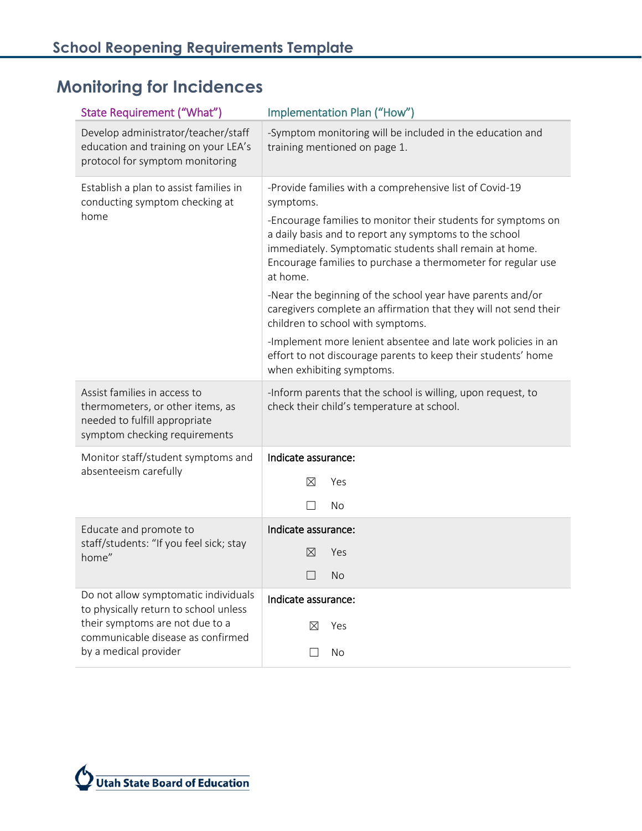# <span id="page-4-0"></span>**Monitoring for Incidences**

| State Requirement ("What")                                                                                                         | Implementation Plan ("How")                                                                                                                                                                                                                                    |  |  |  |  |  |
|------------------------------------------------------------------------------------------------------------------------------------|----------------------------------------------------------------------------------------------------------------------------------------------------------------------------------------------------------------------------------------------------------------|--|--|--|--|--|
| Develop administrator/teacher/staff<br>education and training on your LEA's<br>protocol for symptom monitoring                     | -Symptom monitoring will be included in the education and<br>training mentioned on page 1.                                                                                                                                                                     |  |  |  |  |  |
| Establish a plan to assist families in<br>conducting symptom checking at                                                           | -Provide families with a comprehensive list of Covid-19<br>symptoms.                                                                                                                                                                                           |  |  |  |  |  |
| home                                                                                                                               | -Encourage families to monitor their students for symptoms on<br>a daily basis and to report any symptoms to the school<br>immediately. Symptomatic students shall remain at home.<br>Encourage families to purchase a thermometer for regular use<br>at home. |  |  |  |  |  |
|                                                                                                                                    | -Near the beginning of the school year have parents and/or<br>caregivers complete an affirmation that they will not send their<br>children to school with symptoms.                                                                                            |  |  |  |  |  |
|                                                                                                                                    | -Implement more lenient absentee and late work policies in an<br>effort to not discourage parents to keep their students' home<br>when exhibiting symptoms.                                                                                                    |  |  |  |  |  |
| Assist families in access to<br>thermometers, or other items, as<br>needed to fulfill appropriate<br>symptom checking requirements | -Inform parents that the school is willing, upon request, to<br>check their child's temperature at school.                                                                                                                                                     |  |  |  |  |  |
| Monitor staff/student symptoms and                                                                                                 | Indicate assurance:                                                                                                                                                                                                                                            |  |  |  |  |  |
| absenteeism carefully                                                                                                              | ⊠<br>Yes                                                                                                                                                                                                                                                       |  |  |  |  |  |
|                                                                                                                                    | No                                                                                                                                                                                                                                                             |  |  |  |  |  |
| Educate and promote to                                                                                                             | Indicate assurance:                                                                                                                                                                                                                                            |  |  |  |  |  |
| staff/students: "If you feel sick; stay<br>home"                                                                                   | $\bowtie$<br>Yes                                                                                                                                                                                                                                               |  |  |  |  |  |
|                                                                                                                                    | No<br>$\Box$                                                                                                                                                                                                                                                   |  |  |  |  |  |
| Do not allow symptomatic individuals<br>to physically return to school unless                                                      | Indicate assurance:                                                                                                                                                                                                                                            |  |  |  |  |  |
|                                                                                                                                    |                                                                                                                                                                                                                                                                |  |  |  |  |  |
| their symptoms are not due to a<br>communicable disease as confirmed                                                               | Yes<br>⊠                                                                                                                                                                                                                                                       |  |  |  |  |  |

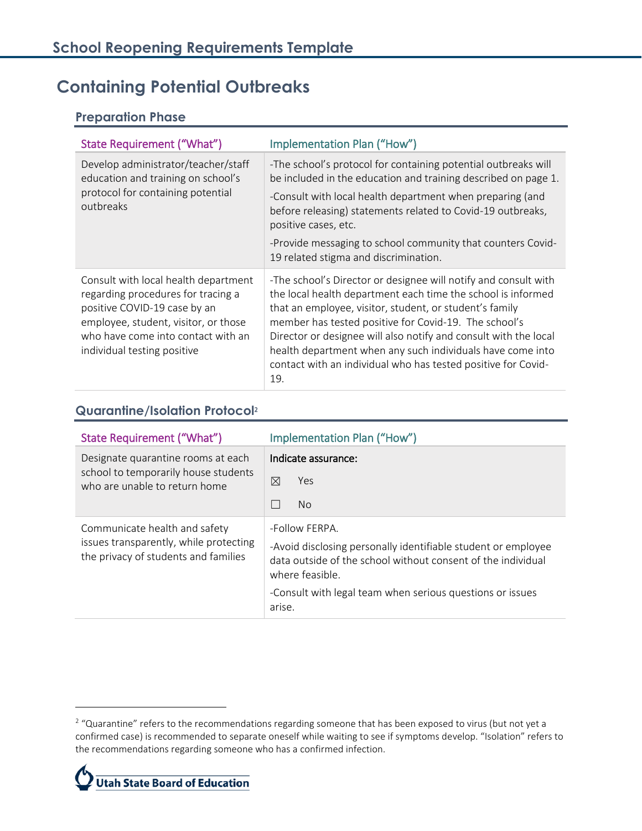# <span id="page-5-0"></span>**Containing Potential Outbreaks**

#### <span id="page-5-1"></span>**Preparation Phase**

| State Requirement ("What")                                                                                                                                                                                              | Implementation Plan ("How")                                                                                                                                                                                                                                                                                                                                                                                                                                   |  |  |  |
|-------------------------------------------------------------------------------------------------------------------------------------------------------------------------------------------------------------------------|---------------------------------------------------------------------------------------------------------------------------------------------------------------------------------------------------------------------------------------------------------------------------------------------------------------------------------------------------------------------------------------------------------------------------------------------------------------|--|--|--|
| Develop administrator/teacher/staff<br>education and training on school's<br>protocol for containing potential<br>outbreaks                                                                                             | -The school's protocol for containing potential outbreaks will<br>be included in the education and training described on page 1.                                                                                                                                                                                                                                                                                                                              |  |  |  |
|                                                                                                                                                                                                                         | -Consult with local health department when preparing (and<br>before releasing) statements related to Covid-19 outbreaks,<br>positive cases, etc.                                                                                                                                                                                                                                                                                                              |  |  |  |
|                                                                                                                                                                                                                         | -Provide messaging to school community that counters Covid-<br>19 related stigma and discrimination.                                                                                                                                                                                                                                                                                                                                                          |  |  |  |
| Consult with local health department<br>regarding procedures for tracing a<br>positive COVID-19 case by an<br>employee, student, visitor, or those<br>who have come into contact with an<br>individual testing positive | -The school's Director or designee will notify and consult with<br>the local health department each time the school is informed<br>that an employee, visitor, student, or student's family<br>member has tested positive for Covid-19. The school's<br>Director or designee will also notify and consult with the local<br>health department when any such individuals have come into<br>contact with an individual who has tested positive for Covid-<br>19. |  |  |  |

#### <span id="page-5-2"></span>**Quarantine/Isolation Protocol**<sup>2</sup>

| State Requirement ("What")                                                                                      | Implementation Plan ("How")                                                                                                                                                                                                               |  |  |  |  |
|-----------------------------------------------------------------------------------------------------------------|-------------------------------------------------------------------------------------------------------------------------------------------------------------------------------------------------------------------------------------------|--|--|--|--|
| Designate quarantine rooms at each<br>school to temporarily house students<br>who are unable to return home     | Indicate assurance:<br>⊠<br>Yes<br>No.                                                                                                                                                                                                    |  |  |  |  |
| Communicate health and safety<br>issues transparently, while protecting<br>the privacy of students and families | -Follow FERPA.<br>-Avoid disclosing personally identifiable student or employee<br>data outside of the school without consent of the individual<br>where feasible.<br>-Consult with legal team when serious questions or issues<br>arise. |  |  |  |  |

 $\overline{a}$ 

 $2$  "Quarantine" refers to the recommendations regarding someone that has been exposed to virus (but not yet a confirmed case) is recommended to separate oneself while waiting to see if symptoms develop. "Isolation" refers to the recommendations regarding someone who has a confirmed infection.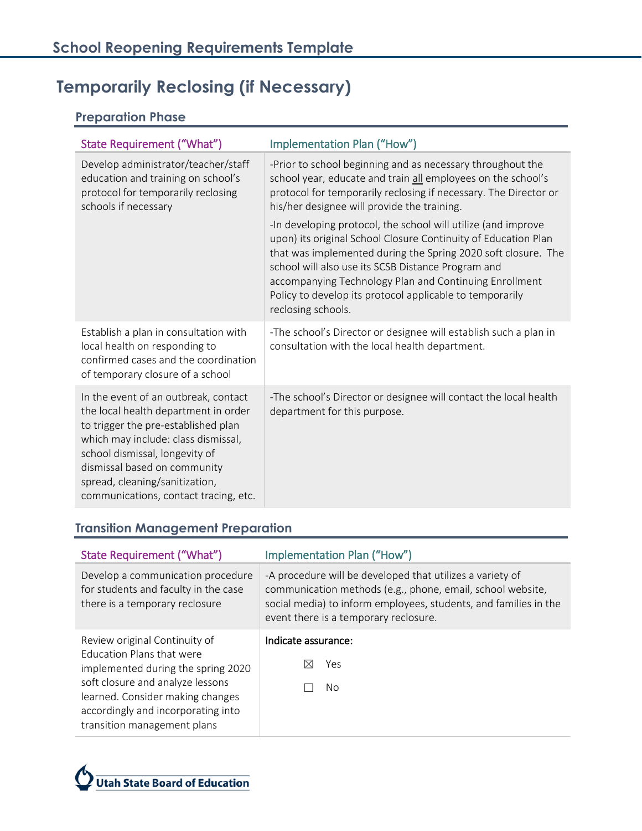# <span id="page-6-0"></span>**Temporarily Reclosing (if Necessary)**

#### <span id="page-6-1"></span>**Preparation Phase**

| State Requirement ("What")                                                                                                                                                                                                                                                                              | Implementation Plan ("How")                                                                                                                                                                                                                                                                                                                                                                        |  |  |
|---------------------------------------------------------------------------------------------------------------------------------------------------------------------------------------------------------------------------------------------------------------------------------------------------------|----------------------------------------------------------------------------------------------------------------------------------------------------------------------------------------------------------------------------------------------------------------------------------------------------------------------------------------------------------------------------------------------------|--|--|
| Develop administrator/teacher/staff<br>education and training on school's<br>protocol for temporarily reclosing<br>schools if necessary                                                                                                                                                                 | -Prior to school beginning and as necessary throughout the<br>school year, educate and train all employees on the school's<br>protocol for temporarily reclosing if necessary. The Director or<br>his/her designee will provide the training.                                                                                                                                                      |  |  |
|                                                                                                                                                                                                                                                                                                         | -In developing protocol, the school will utilize (and improve<br>upon) its original School Closure Continuity of Education Plan<br>that was implemented during the Spring 2020 soft closure. The<br>school will also use its SCSB Distance Program and<br>accompanying Technology Plan and Continuing Enrollment<br>Policy to develop its protocol applicable to temporarily<br>reclosing schools. |  |  |
| Establish a plan in consultation with<br>local health on responding to<br>confirmed cases and the coordination<br>of temporary closure of a school                                                                                                                                                      | -The school's Director or designee will establish such a plan in<br>consultation with the local health department.                                                                                                                                                                                                                                                                                 |  |  |
| In the event of an outbreak, contact<br>the local health department in order<br>to trigger the pre-established plan<br>which may include: class dismissal,<br>school dismissal, longevity of<br>dismissal based on community<br>spread, cleaning/sanitization,<br>communications, contact tracing, etc. | -The school's Director or designee will contact the local health<br>department for this purpose.                                                                                                                                                                                                                                                                                                   |  |  |

### <span id="page-6-2"></span>**Transition Management Preparation**

| State Requirement ("What")                                                                                  | Implementation Plan ("How")                                                                                                                                                                                                          |  |  |
|-------------------------------------------------------------------------------------------------------------|--------------------------------------------------------------------------------------------------------------------------------------------------------------------------------------------------------------------------------------|--|--|
| Develop a communication procedure<br>for students and faculty in the case<br>there is a temporary reclosure | -A procedure will be developed that utilizes a variety of<br>communication methods (e.g., phone, email, school website,<br>social media) to inform employees, students, and families in the<br>event there is a temporary reclosure. |  |  |
| Review original Continuity of                                                                               | Indicate assurance:                                                                                                                                                                                                                  |  |  |
| <b>Education Plans that were</b><br>implemented during the spring 2020                                      | Yes<br>IX                                                                                                                                                                                                                            |  |  |
| soft closure and analyze lessons                                                                            | No.                                                                                                                                                                                                                                  |  |  |
| learned. Consider making changes<br>accordingly and incorporating into                                      |                                                                                                                                                                                                                                      |  |  |
| transition management plans                                                                                 |                                                                                                                                                                                                                                      |  |  |

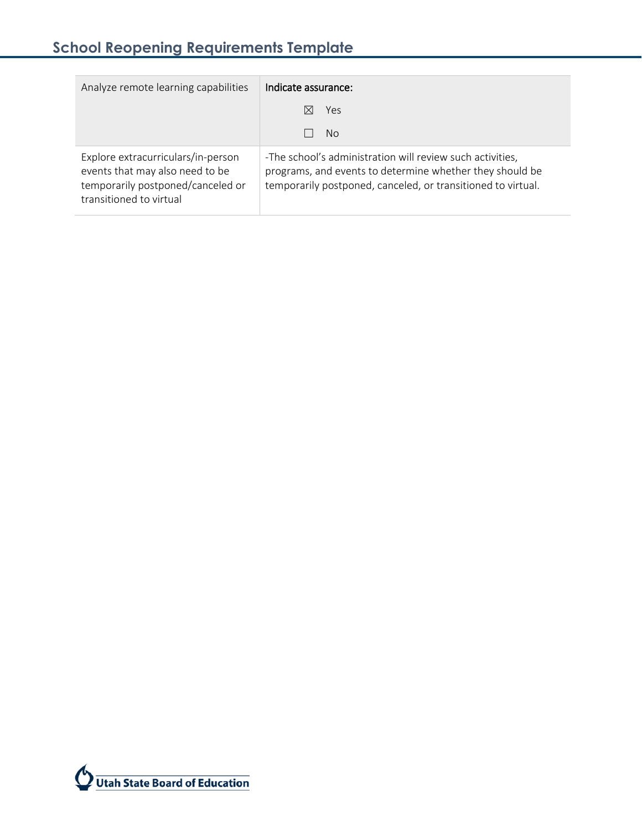| Analyze remote learning capabilities                                                                                                  | Indicate assurance:                                                                                                                                                                   |  |  |  |  |
|---------------------------------------------------------------------------------------------------------------------------------------|---------------------------------------------------------------------------------------------------------------------------------------------------------------------------------------|--|--|--|--|
|                                                                                                                                       | Yes                                                                                                                                                                                   |  |  |  |  |
|                                                                                                                                       | No.                                                                                                                                                                                   |  |  |  |  |
| Explore extracurriculars/in-person<br>events that may also need to be<br>temporarily postponed/canceled or<br>transitioned to virtual | -The school's administration will review such activities,<br>programs, and events to determine whether they should be<br>temporarily postponed, canceled, or transitioned to virtual. |  |  |  |  |

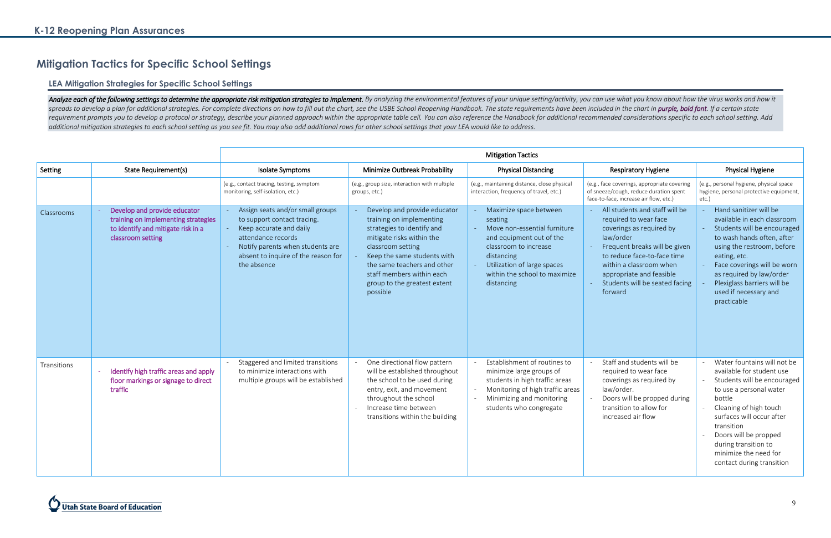# <span id="page-8-0"></span>**Mitigation Tactics for Specific School Settings**

#### <span id="page-8-1"></span>**LEA Mitigation Strategies for Specific School Settings**

Analyze each of the following settings to determine the appropriate risk mitigation strategies to implement. By analyzing the environmental features of your unique setting/activity, you can use what you know about how the spreads to develop a plan for additional strategies. For complete directions on how to fill out the chart, see the USBE School Reopening Handbook. The state requirements have been included in the chart in purple, bold font requirement prompts you to develop a protocol or strategy, describe your planned approach within the appropriate table cell. You can also reference the Handbook for additional recommended considerations specific to each sc *additional mitigation strategies to each school setting as you see fit. You may also add additional rows for other school settings that your LEA would like to address.*

|             |                                                                                                                                | <b>Mitigation Tactics</b>                                                                                                                                                                                  |                                                                                                                                                                                                                                                                                 |                                                                                                                                                                                                                    |                                                                                                                                                                                                                                                                      |                                                                                                                                                                                                                                                                                                          |
|-------------|--------------------------------------------------------------------------------------------------------------------------------|------------------------------------------------------------------------------------------------------------------------------------------------------------------------------------------------------------|---------------------------------------------------------------------------------------------------------------------------------------------------------------------------------------------------------------------------------------------------------------------------------|--------------------------------------------------------------------------------------------------------------------------------------------------------------------------------------------------------------------|----------------------------------------------------------------------------------------------------------------------------------------------------------------------------------------------------------------------------------------------------------------------|----------------------------------------------------------------------------------------------------------------------------------------------------------------------------------------------------------------------------------------------------------------------------------------------------------|
| Setting     | <b>State Requirement(s)</b>                                                                                                    | Isolate Symptoms                                                                                                                                                                                           | Minimize Outbreak Probability                                                                                                                                                                                                                                                   | <b>Physical Distancing</b>                                                                                                                                                                                         | <b>Respiratory Hygiene</b>                                                                                                                                                                                                                                           | Physical Hygiene                                                                                                                                                                                                                                                                                         |
|             |                                                                                                                                | (e.g., contact tracing, testing, symptom<br>monitoring, self-isolation, etc.)                                                                                                                              | (e.g., group size, interaction with multiple<br>groups, etc.)                                                                                                                                                                                                                   | (e.g., maintaining distance, close physical<br>interaction, frequency of travel, etc.)                                                                                                                             | (e.g., face coverings, appropriate covering<br>of sneeze/cough, reduce duration spent<br>face-to-face, increase air flow, etc.)                                                                                                                                      | (e.g., personal hygiene, physical space<br>hygiene, personal protective equipment,<br>etc.)                                                                                                                                                                                                              |
| Classrooms  | Develop and provide educator<br>training on implementing strategies<br>to identify and mitigate risk in a<br>classroom setting | Assign seats and/or small groups<br>to support contact tracing.<br>Keep accurate and daily<br>attendance records<br>Notify parents when students are<br>absent to inquire of the reason for<br>the absence | Develop and provide educator<br>training on implementing<br>strategies to identify and<br>mitigate risks within the<br>classroom setting<br>Keep the same students with<br>the same teachers and other<br>staff members within each<br>group to the greatest extent<br>possible | Maximize space between<br>seating<br>Move non-essential furniture<br>and equipment out of the<br>classroom to increase<br>distancing<br>Utilization of large spaces<br>within the school to maximize<br>distancing | All students and staff will be<br>required to wear face<br>coverings as required by<br>law/order<br>Frequent breaks will be given<br>to reduce face-to-face time<br>within a classroom when<br>appropriate and feasible<br>Students will be seated facing<br>forward | Hand sanitizer will be<br>available in each classroom<br>Students will be encouraged<br>to wash hands often, after<br>using the restroom, before<br>eating, etc.<br>Face coverings will be worn<br>as required by law/order<br>Plexiglass barriers will be<br>used if necessary and<br>practicable       |
| Transitions | Identify high traffic areas and apply<br>floor markings or signage to direct<br>traffic                                        | Staggered and limited transitions<br>to minimize interactions with<br>multiple groups will be established                                                                                                  | One directional flow pattern<br>will be established throughout<br>the school to be used during<br>entry, exit, and movement<br>throughout the school<br>Increase time between<br>transitions within the building                                                                | Establishment of routines to<br>minimize large groups of<br>students in high traffic areas<br>Monitoring of high traffic areas<br>Minimizing and monitoring<br>students who congregate                             | Staff and students will be<br>required to wear face<br>coverings as required by<br>law/order.<br>Doors will be propped during<br>transition to allow for<br>increased air flow                                                                                       | Water fountains will not be<br>available for student use<br>Students will be encouraged<br>to use a personal water<br>bottle<br>Cleaning of high touch<br>surfaces will occur after<br>transition<br>Doors will be propped<br>during transition to<br>minimize the need for<br>contact during transition |

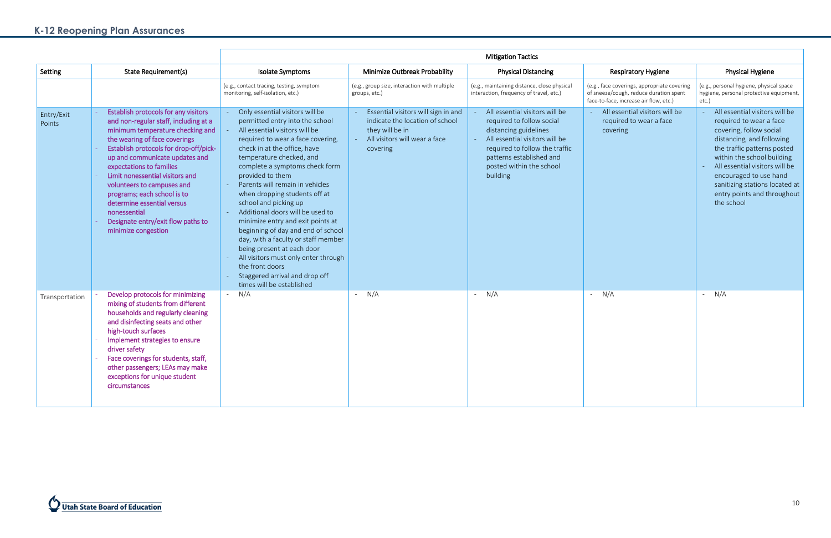# **K-12 Reopening Plan Assurances**

|                      |                                                                                                                                                                                                                                                                                                                                                                                                                                                                       | <b>Mitigation Tactics</b>                                                                                                                                                                                                                                                                                                                                                                                                                                                                                                                                                                                                                                              |                                                                                                                                        |                                                                                                                                                                                                                              |                                                                                                                                 |                                                                                                                                                                                                                                                                                                                           |  |
|----------------------|-----------------------------------------------------------------------------------------------------------------------------------------------------------------------------------------------------------------------------------------------------------------------------------------------------------------------------------------------------------------------------------------------------------------------------------------------------------------------|------------------------------------------------------------------------------------------------------------------------------------------------------------------------------------------------------------------------------------------------------------------------------------------------------------------------------------------------------------------------------------------------------------------------------------------------------------------------------------------------------------------------------------------------------------------------------------------------------------------------------------------------------------------------|----------------------------------------------------------------------------------------------------------------------------------------|------------------------------------------------------------------------------------------------------------------------------------------------------------------------------------------------------------------------------|---------------------------------------------------------------------------------------------------------------------------------|---------------------------------------------------------------------------------------------------------------------------------------------------------------------------------------------------------------------------------------------------------------------------------------------------------------------------|--|
| Setting              | State Requirement(s)                                                                                                                                                                                                                                                                                                                                                                                                                                                  | Isolate Symptoms                                                                                                                                                                                                                                                                                                                                                                                                                                                                                                                                                                                                                                                       | Minimize Outbreak Probability                                                                                                          | <b>Physical Distancing</b>                                                                                                                                                                                                   | <b>Respiratory Hygiene</b>                                                                                                      | Physical Hygiene                                                                                                                                                                                                                                                                                                          |  |
|                      |                                                                                                                                                                                                                                                                                                                                                                                                                                                                       | (e.g., contact tracing, testing, symptom<br>monitoring, self-isolation, etc.)                                                                                                                                                                                                                                                                                                                                                                                                                                                                                                                                                                                          | (e.g., group size, interaction with multiple<br>groups, etc.)                                                                          | (e.g., maintaining distance, close physical<br>interaction, frequency of travel, etc.)                                                                                                                                       | (e.g., face coverings, appropriate covering<br>of sneeze/cough, reduce duration spent<br>face-to-face, increase air flow, etc.) | (e.g., personal hygiene, physical space<br>hygiene, personal protective equipment,<br>etc.)                                                                                                                                                                                                                               |  |
| Entry/Exit<br>Points | Establish protocols for any visitors<br>and non-regular staff, including at a<br>minimum temperature checking and<br>the wearing of face coverings<br>Establish protocols for drop-off/pick-<br>up and communicate updates and<br>expectations to families<br>Limit nonessential visitors and<br>volunteers to campuses and<br>programs; each school is to<br>determine essential versus<br>nonessential<br>Designate entry/exit flow paths to<br>minimize congestion | Only essential visitors will be<br>permitted entry into the school<br>All essential visitors will be<br>required to wear a face covering,<br>check in at the office, have<br>temperature checked, and<br>complete a symptoms check form<br>provided to them<br>Parents will remain in vehicles<br>when dropping students off at<br>school and picking up<br>Additional doors will be used to<br>minimize entry and exit points at<br>beginning of day and end of school<br>day, with a faculty or staff member<br>being present at each door<br>All visitors must only enter through<br>the front doors<br>Staggered arrival and drop off<br>times will be established | Essential visitors will sign in and<br>indicate the location of school<br>they will be in<br>All visitors will wear a face<br>covering | All essential visitors will be<br>required to follow social<br>distancing guidelines<br>All essential visitors will be<br>required to follow the traffic<br>patterns established and<br>posted within the school<br>building | All essential visitors will be<br>required to wear a face<br>covering                                                           | All essential visitors will be<br>required to wear a face<br>covering, follow social<br>distancing, and following<br>the traffic patterns posted<br>within the school building<br>All essential visitors will be<br>encouraged to use hand<br>sanitizing stations located at<br>entry points and throughout<br>the school |  |
| Transportation       | Develop protocols for minimizing<br>mixing of students from different<br>households and regularly cleaning<br>and disinfecting seats and other<br>high-touch surfaces<br>Implement strategies to ensure<br>driver safety<br>Face coverings for students, staff,<br>other passengers; LEAs may make<br>exceptions for unique student<br>circumstances                                                                                                                  | N/A                                                                                                                                                                                                                                                                                                                                                                                                                                                                                                                                                                                                                                                                    | N/A<br>$\omega$ .                                                                                                                      | $- N/A$                                                                                                                                                                                                                      | N/A                                                                                                                             | N/A<br>$\omega_{\rm{max}}$                                                                                                                                                                                                                                                                                                |  |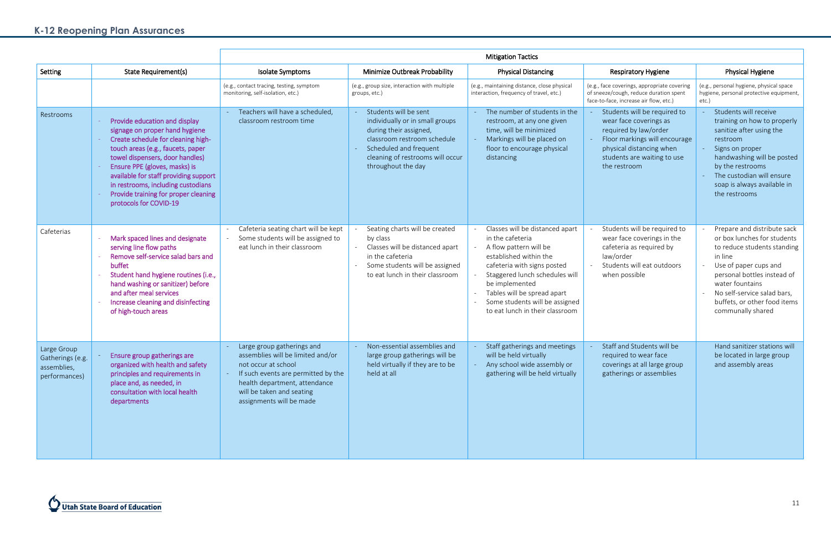# **K-12 Reopening Plan Assurances**

|                                                                 |                                                                                                                                                                                                                                                                                                                                                                 | <b>Mitigation Tactics</b>                                                                                                                                                                                               |                                                                                                                                                                                                       |                                                                                                                                                                                                                                                                                                |                                                                                                                                                                                             |                                                                                                                                                                                                                                                                     |
|-----------------------------------------------------------------|-----------------------------------------------------------------------------------------------------------------------------------------------------------------------------------------------------------------------------------------------------------------------------------------------------------------------------------------------------------------|-------------------------------------------------------------------------------------------------------------------------------------------------------------------------------------------------------------------------|-------------------------------------------------------------------------------------------------------------------------------------------------------------------------------------------------------|------------------------------------------------------------------------------------------------------------------------------------------------------------------------------------------------------------------------------------------------------------------------------------------------|---------------------------------------------------------------------------------------------------------------------------------------------------------------------------------------------|---------------------------------------------------------------------------------------------------------------------------------------------------------------------------------------------------------------------------------------------------------------------|
| Setting                                                         | State Requirement(s)                                                                                                                                                                                                                                                                                                                                            | Isolate Symptoms                                                                                                                                                                                                        | Minimize Outbreak Probability                                                                                                                                                                         | <b>Physical Distancing</b>                                                                                                                                                                                                                                                                     | <b>Respiratory Hygiene</b>                                                                                                                                                                  | <b>Physical Hygiene</b>                                                                                                                                                                                                                                             |
|                                                                 |                                                                                                                                                                                                                                                                                                                                                                 | (e.g., contact tracing, testing, symptom<br>monitoring, self-isolation, etc.)                                                                                                                                           | (e.g., group size, interaction with multiple<br>groups, etc.)                                                                                                                                         | (e.g., maintaining distance, close physical<br>interaction, frequency of travel, etc.)                                                                                                                                                                                                         | (e.g., face coverings, appropriate covering<br>of sneeze/cough, reduce duration spent<br>face-to-face, increase air flow, etc.)                                                             | (e.g., personal hygiene, physical space<br>hygiene, personal protective equipment,<br>etc.)                                                                                                                                                                         |
| Restrooms                                                       | Provide education and display<br>signage on proper hand hygiene<br>Create schedule for cleaning high-<br>touch areas (e.g., faucets, paper<br>towel dispensers, door handles)<br>Ensure PPE (gloves, masks) is<br>available for staff providing support<br>in restrooms, including custodians<br>Provide training for proper cleaning<br>protocols for COVID-19 | Teachers will have a scheduled,<br>classroom restroom time                                                                                                                                                              | Students will be sent<br>individually or in small groups<br>during their assigned,<br>classroom restroom schedule<br>Scheduled and frequent<br>cleaning of restrooms will occur<br>throughout the day | The number of students in the<br>restroom, at any one given<br>time, will be minimized<br>Markings will be placed on<br>floor to encourage physical<br>distancing                                                                                                                              | Students will be required to<br>wear face coverings as<br>required by law/order<br>Floor markings will encourage<br>physical distancing when<br>students are waiting to use<br>the restroom | Students will receive<br>training on how to properly<br>sanitize after using the<br>restroom<br>Signs on proper<br>handwashing will be posted<br>by the restrooms<br>The custodian will ensure<br>soap is always available in<br>the restrooms                      |
| Cafeterias                                                      | Mark spaced lines and designate<br>serving line flow paths<br>Remove self-service salad bars and<br>buffet<br>Student hand hygiene routines (i.e.,<br>hand washing or sanitizer) before<br>and after meal services<br>Increase cleaning and disinfecting<br>of high-touch areas                                                                                 | Cafeteria seating chart will be kept<br>Some students will be assigned to<br>eat lunch in their classroom                                                                                                               | Seating charts will be created<br>by class<br>Classes will be distanced apart<br>in the cafeteria<br>Some students will be assigned<br>to eat lunch in their classroom                                | Classes will be distanced apart<br>in the cafeteria<br>A flow pattern will be<br>established within the<br>cafeteria with signs posted<br>Staggered lunch schedules will<br>be implemented<br>Tables will be spread apart<br>Some students will be assigned<br>to eat lunch in their classroom | Students will be required to<br>wear face coverings in the<br>cafeteria as required by<br>law/order<br>Students will eat outdoors<br>when possible                                          | Prepare and distribute sack<br>or box lunches for students<br>to reduce students standing<br>in line<br>Use of paper cups and<br>personal bottles instead of<br>water fountains<br>No self-service salad bars,<br>buffets, or other food items<br>communally shared |
| Large Group<br>Gatherings (e.g.<br>assemblies,<br>performances) | <b>Ensure group gatherings are</b><br>organized with health and safety<br>principles and requirements in<br>place and, as needed, in<br>consultation with local health<br>departments                                                                                                                                                                           | Large group gatherings and<br>assemblies will be limited and/or<br>not occur at school<br>If such events are permitted by the<br>health department, attendance<br>will be taken and seating<br>assignments will be made | Non-essential assemblies and<br>large group gatherings will be<br>held virtually if they are to be<br>held at all                                                                                     | Staff gatherings and meetings<br>will be held virtually<br>Any school wide assembly or<br>gathering will be held virtually                                                                                                                                                                     | Staff and Students will be<br>required to wear face<br>coverings at all large group<br>gatherings or assemblies                                                                             | Hand sanitizer stations will<br>be located in large group<br>and assembly areas                                                                                                                                                                                     |